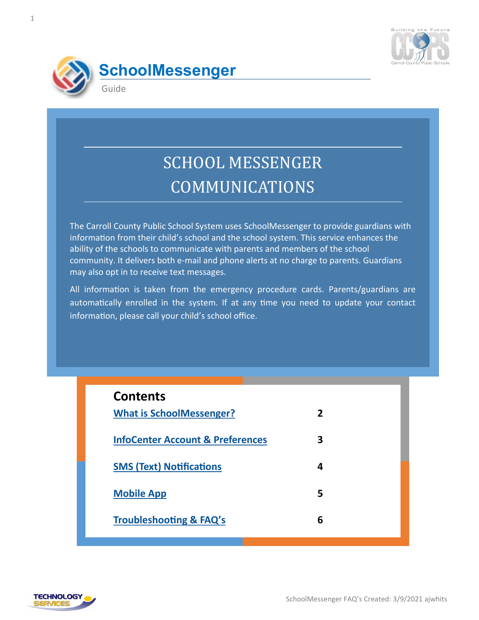



# SCHOOL MESSENGER COMMUNICATIONS

The Carroll County Public School System uses SchoolMessenger to provide guardians with information from their child's school and the school system. This service enhances the ability of the schools to communicate with parents and members of the school community. It delivers both e-mail and phone alerts at no charge to parents. Guardians may also opt in to receive text messages.

All information is taken from the emergency procedure cards. Parents/guardians are automatically enrolled in the system. If at any time you need to update your contact information, please call your child's school office.

| <b>Contents</b>                             |   |
|---------------------------------------------|---|
| <b>What is SchoolMessenger?</b>             | 2 |
| <b>InfoCenter Account &amp; Preferences</b> | 3 |
| <b>SMS (Text) Notifications</b>             | 4 |
| <b>Mobile App</b>                           | 5 |
| <b>Troubleshooting &amp; FAQ's</b>          | 6 |

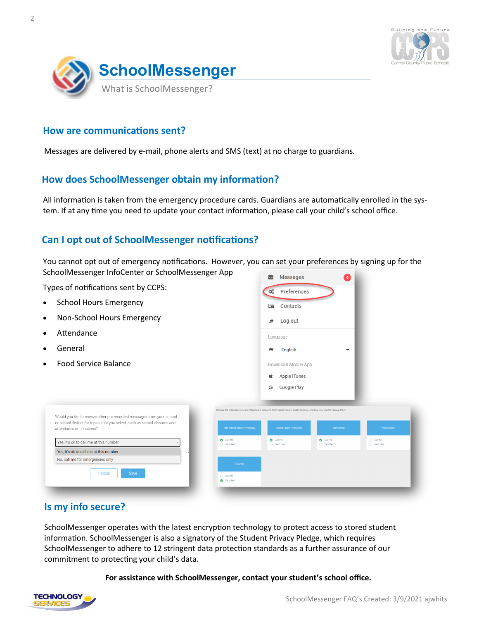

<span id="page-1-0"></span>

### **How are communications sent?**

Messages are delivered by e-mail, phone alerts and SMS (text) at no charge to guardians.

## **How does SchoolMessenger obtain my information?**

All information is taken from the emergency procedure cards. Guardians are automatically enrolled in the system. If at any time you need to update your contact information, please call your child's school office.

## **Can I opt out of SchoolMessenger notifications?**

You cannot opt out of emergency notifications. However, you can set your preferences by signing up for the SchoolMessenger InfoCenter or SchoolMessenger App

Types of notifications sent by CCPS:

- School Hours Emergency
- Non-School Hours Emergency

Would you like to receive other pre-recorded messages from your school or school district for topics that you select, such as school closures and

- **Attendance**
- **General**
- Food Service Balance



## **Is my info secure?**

attendance notifications?

Yes, it's ok to call me at this number Yes, it's ok to call me at this number No, call me for emergencies only

Cancel

SchoolMessenger operates with the latest encryption technology to protect access to stored student information. SchoolMessenger is also a signatory of the Student Privacy Pledge, which requires SchoolMessenger to adhere to 12 stringent data protection standards as a further assurance of our commitment to protecting your child's data.

#### **For assistance with SchoolMessenger, contact your student's school office.**

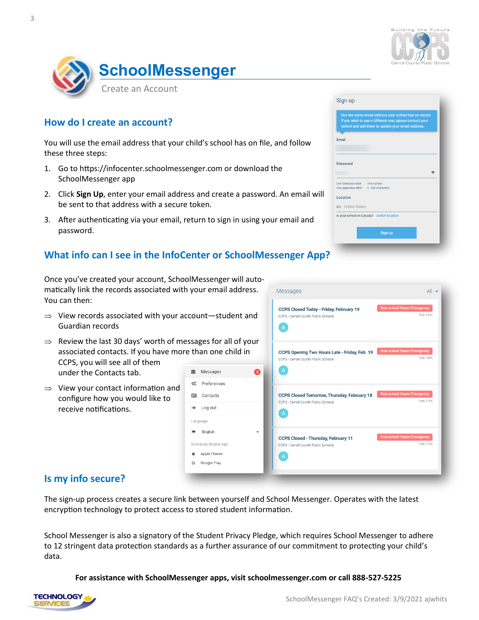

 $^{\circ}$ 

<span id="page-2-0"></span>

## **How do I create an account?**

You will use the email address that your child's school has on file, and follow these three steps:

- 1. Go to https://infocenter.schoolmessenger.com or download the SchoolMessenger app
- 2. Click **Sign Up**, enter your email address and create a password. An email will be sent to that address with a secure token.
- 3. After authenticating via your email, return to sign in using your email and password.

## **What info can I see in the InfoCenter or SchoolMessenger App?**

**☆**& Preferences **国** Contacts □ Log out Language **PM** English Download Mobile App **Apple iTunes** Google Play

Once you've created your account, SchoolMessenger will automatically link the records associated with your email address. Messanes You can then:

- $\Rightarrow$  View records associated with your account—student and Guardian records
- $\Rightarrow$  Review the last 30 days' worth of messages for all of y associated contacts. If you have more than one child in CCPS, you will see all of them  $\blacktriangleright$  Messages

under the Contacts tab.

 $\Rightarrow$  View your contact information and configure how you would like to receive notifications.

|                             | moodyco                                                                                         | $\sim$ $\sim$                                 |
|-----------------------------|-------------------------------------------------------------------------------------------------|-----------------------------------------------|
| and                         | <b>CCPS Closed Today - Friday, February 19</b><br>CCPS - Carroll County Public Schools<br>A     | <b>Non-school Hours Emergency</b><br>Feb 19th |
| our/<br>n<br>$\overline{4}$ | CCPS Opening Two Hours Late - Friday, Feb. 19<br>CCPS - Carroll County Public Schools<br>A      | <b>Non-school Hours Emergency</b><br>Feb 18th |
|                             | <b>CCPS Closed Tomorrow, Thursday, February 18</b><br>CCPS - Carroll County Public Schools<br>A | <b>Non-school Hours Emergency</b><br>Feb 17th |
|                             | <b>CCPS Closed - Thursday, February 11</b><br>CCPS - Carroll County Public Schools<br>A         | <b>Non-school Hours Emergency</b><br>Feb 11th |

Sign up

Email

Password

Location **US** United States

.<br>One lowercase letter One number<br>One uppercase letter 6 - 255 characters

Is your school in Canada? Switch location

Sign up

If you wish to use a different one, please contact you<br>school and ask them to update your email address.

## **Is my info secure?**

The sign-up process creates a secure link between yourself and School Messenger. Operates with the latest encryption technology to protect access to stored student information.

School Messenger is also a signatory of the Student Privacy Pledge, which requires School Messenger to adhere to 12 stringent data protection standards as a further assurance of our commitment to protecting your child's data.

**For assistance with SchoolMessenger apps, visit schoolmessenger.com or call 888-527-5225**

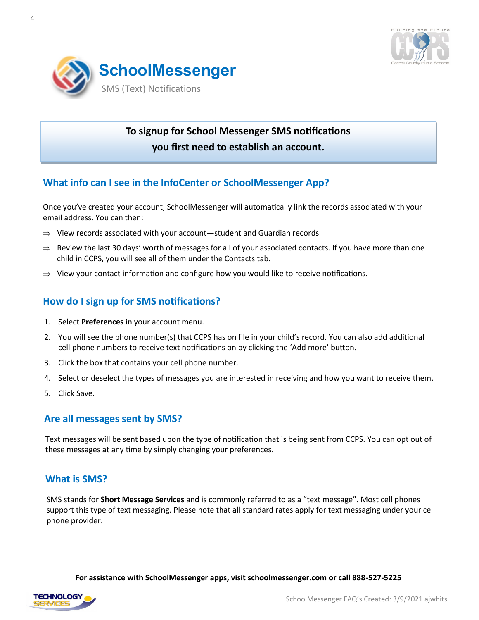

<span id="page-3-0"></span>

## **To signup for School Messenger SMS notifications you first need to establish an account.**

## **What info can I see in the InfoCenter or SchoolMessenger App?**

Once you've created your account, SchoolMessenger will automatically link the records associated with your email address. You can then:

- $\Rightarrow$  View records associated with your account—student and Guardian records
- $\Rightarrow$  Review the last 30 days' worth of messages for all of your associated contacts. If you have more than one child in CCPS, you will see all of them under the Contacts tab.
- $\Rightarrow$  View your contact information and configure how you would like to receive notifications.

## **How do I sign up for SMS notifications?**

- 1. Select **Preferences** in your account menu.
- 2. You will see the phone number(s) that CCPS has on file in your child's record. You can also add additional cell phone numbers to receive text notifications on by clicking the 'Add more' button.
- 3. Click the box that contains your cell phone number.
- 4. Select or deselect the types of messages you are interested in receiving and how you want to receive them.
- 5. Click Save.

#### **Are all messages sent by SMS?**

Text messages will be sent based upon the type of notification that is being sent from CCPS. You can opt out of these messages at any time by simply changing your preferences.

#### **What is SMS?**

SMS stands for **Short Message Services** and is commonly referred to as a "text message". Most cell phones support this type of text messaging. Please note that all standard rates apply for text messaging under your cell phone provider.

**For assistance with SchoolMessenger apps, visit schoolmessenger.com or call 888-527-5225**

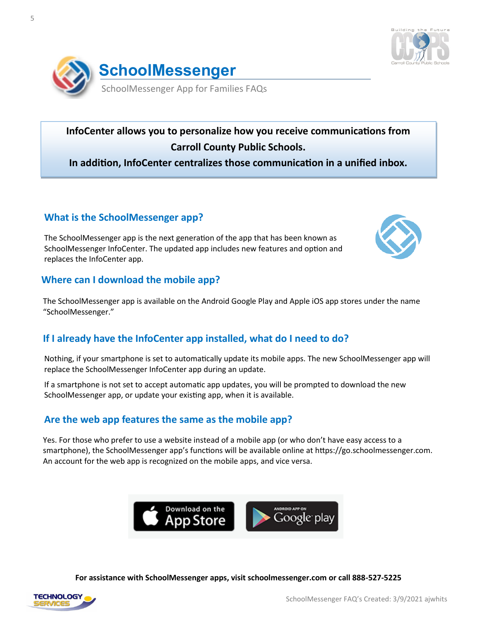

<span id="page-4-0"></span>

**InfoCenter allows you to personalize how you receive communications from Carroll County Public Schools.** 

**In addition, InfoCenter centralizes those communication in a unified inbox.** 

## **What is the SchoolMessenger app?**

The SchoolMessenger app is the next generation of the app that has been known as SchoolMessenger InfoCenter. The updated app includes new features and option and replaces the InfoCenter app.



## **Where can I download the mobile app?**

The SchoolMessenger app is available on the Android Google Play and Apple iOS app stores under the name "SchoolMessenger."

## **If I already have the InfoCenter app installed, what do I need to do?**

Nothing, if your smartphone is set to automatically update its mobile apps. The new SchoolMessenger app will replace the SchoolMessenger InfoCenter app during an update.

If a smartphone is not set to accept automatic app updates, you will be prompted to download the new SchoolMessenger app, or update your existing app, when it is available.

## **Are the web app features the same as the mobile app?**

Yes. For those who prefer to use a website instead of a mobile app (or who don't have easy access to a smartphone), the SchoolMessenger app's functions will be available online at https://go.schoolmessenger.com. An account for the web app is recognized on the mobile apps, and vice versa.



**For assistance with SchoolMessenger apps, visit schoolmessenger.com or call 888-527-5225**

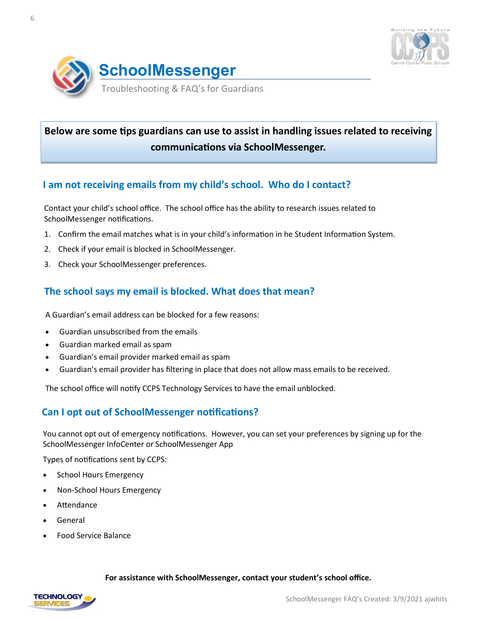

<span id="page-5-0"></span>

# **Below are some tips guardians can use to assist in handling issues related to receiving communications via SchoolMessenger.**

## **I am not receiving emails from my child's school. Who do I contact?**

Contact your child's school office. The school office has the ability to research issues related to SchoolMessenger notifications.

- 1. Confirm the email matches what is in your child's information in he Student Information System.
- 2. Check if your email is blocked in SchoolMessenger.
- 3. Check your SchoolMessenger preferences.

## **The school says my email is blocked. What does that mean?**

A Guardian's email address can be blocked for a few reasons:

- Guardian unsubscribed from the emails
- Guardian marked email as spam
- Guardian's email provider marked email as spam
- Guardian's email provider has filtering in place that does not allow mass emails to be received.

The school office will notify CCPS Technology Services to have the email unblocked.

## **Can I opt out of SchoolMessenger notifications?**

You cannot opt out of emergency notifications. However, you can set your preferences by signing up for the SchoolMessenger InfoCenter or SchoolMessenger App

Types of notifications sent by CCPS:

- School Hours Emergency
- Non-School Hours Emergency
- **Attendance**
- **General**
- Food Service Balance

#### **For assistance with SchoolMessenger, contact your student's school office.**